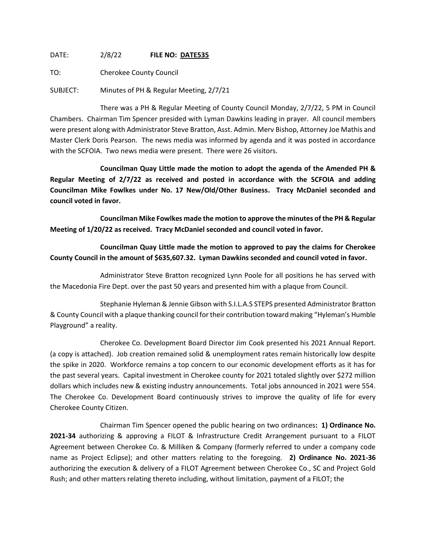DATE: 2/8/22 **FILE NO: DATE535**

TO: Cherokee County Council

SUBJECT: Minutes of PH & Regular Meeting, 2/7/21

There was a PH & Regular Meeting of County Council Monday, 2/7/22, 5 PM in Council Chambers. Chairman Tim Spencer presided with Lyman Dawkins leading in prayer. All council members were present along with Administrator Steve Bratton, Asst. Admin. Merv Bishop, Attorney Joe Mathis and Master Clerk Doris Pearson. The news media was informed by agenda and it was posted in accordance with the SCFOIA. Two news media were present. There were 26 visitors.

**Councilman Quay Little made the motion to adopt the agenda of the Amended PH & Regular Meeting of 2/7/22 as received and posted in accordance with the SCFOIA and adding Councilman Mike Fowlkes under No. 17 New/Old/Other Business. Tracy McDaniel seconded and council voted in favor.**

**Councilman Mike Fowlkes made the motion to approve the minutes of the PH & Regular Meeting of 1/20/22 as received. Tracy McDaniel seconded and council voted in favor.**

**Councilman Quay Little made the motion to approved to pay the claims for Cherokee County Council in the amount of \$635,607.32. Lyman Dawkins seconded and council voted in favor.**

Administrator Steve Bratton recognized Lynn Poole for all positions he has served with the Macedonia Fire Dept. over the past 50 years and presented him with a plaque from Council.

Stephanie Hyleman & Jennie Gibson with S.I.L.A.S STEPS presented Administrator Bratton & County Council with a plaque thanking council for their contribution toward making "Hyleman's Humble Playground" a reality.

Cherokee Co. Development Board Director Jim Cook presented his 2021 Annual Report. (a copy is attached). Job creation remained solid & unemployment rates remain historically low despite the spike in 2020. Workforce remains a top concern to our economic development efforts as it has for the past several years. Capital investment in Cherokee county for 2021 totaled slightly over \$272 million dollars which includes new & existing industry announcements. Total jobs announced in 2021 were 554. The Cherokee Co. Development Board continuously strives to improve the quality of life for every Cherokee County Citizen.

Chairman Tim Spencer opened the public hearing on two ordinances**: 1) Ordinance No. 2021-34** authorizing & approving a FILOT & Infrastructure Credit Arrangement pursuant to a FILOT Agreement between Cherokee Co. & Milliken & Company (formerly referred to under a company code name as Project Eclipse); and other matters relating to the foregoing. **2) Ordinance No. 2021-36** authorizing the execution & delivery of a FILOT Agreement between Cherokee Co., SC and Project Gold Rush; and other matters relating thereto including, without limitation, payment of a FILOT; the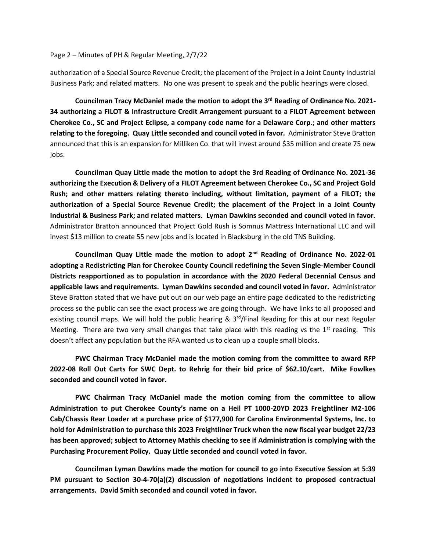## Page 2 – Minutes of PH & Regular Meeting, 2/7/22

authorization of a Special Source Revenue Credit; the placement of the Project in a Joint County Industrial Business Park; and related matters. No one was present to speak and the public hearings were closed.

**Councilman Tracy McDaniel made the motion to adopt the 3 rd Reading of Ordinance No. 2021- 34 authorizing a FILOT & Infrastructure Credit Arrangement pursuant to a FILOT Agreement between Cherokee Co., SC and Project Eclipse, a company code name for a Delaware Corp.; and other matters relating to the foregoing. Quay Little seconded and council voted in favor.** Administrator Steve Bratton announced that this is an expansion for Milliken Co. that will invest around \$35 million and create 75 new jobs.

**Councilman Quay Little made the motion to adopt the 3rd Reading of Ordinance No. 2021-36 authorizing the Execution & Delivery of a FILOT Agreement between Cherokee Co., SC and Project Gold Rush; and other matters relating thereto including, without limitation, payment of a FILOT; the authorization of a Special Source Revenue Credit; the placement of the Project in a Joint County Industrial & Business Park; and related matters. Lyman Dawkins seconded and council voted in favor.**  Administrator Bratton announced that Project Gold Rush is Somnus Mattress International LLC and will invest \$13 million to create 55 new jobs and is located in Blacksburg in the old TNS Building.

**Councilman Quay Little made the motion to adopt 2nd Reading of Ordinance No. 2022-01 adopting a Redistricting Plan for Cherokee County Council redefining the Seven Single-Member Council Districts reapportioned as to population in accordance with the 2020 Federal Decennial Census and applicable laws and requirements. Lyman Dawkins seconded and council voted in favor.** Administrator Steve Bratton stated that we have put out on our web page an entire page dedicated to the redistricting process so the public can see the exact process we are going through. We have links to all proposed and existing council maps. We will hold the public hearing &  $3<sup>rd</sup>/Final$  Reading for this at our next Regular Meeting. There are two very small changes that take place with this reading vs the  $1<sup>st</sup>$  reading. This doesn't affect any population but the RFA wanted us to clean up a couple small blocks.

**PWC Chairman Tracy McDaniel made the motion coming from the committee to award RFP 2022-08 Roll Out Carts for SWC Dept. to Rehrig for their bid price of \$62.10/cart. Mike Fowlkes seconded and council voted in favor.**

**PWC Chairman Tracy McDaniel made the motion coming from the committee to allow Administration to put Cherokee County's name on a Heil PT 1000-20YD 2023 Freightliner M2-106 Cab/Chassis Rear Loader at a purchase price of \$177,900 for Carolina Environmental Systems, Inc. to hold for Administration to purchase this 2023 Freightliner Truck when the new fiscal year budget 22/23 has been approved; subject to Attorney Mathis checking to see if Administration is complying with the Purchasing Procurement Policy. Quay Little seconded and council voted in favor.**

**Councilman Lyman Dawkins made the motion for council to go into Executive Session at 5:39 PM pursuant to Section 30-4-70(a)(2) discussion of negotiations incident to proposed contractual arrangements. David Smith seconded and council voted in favor.**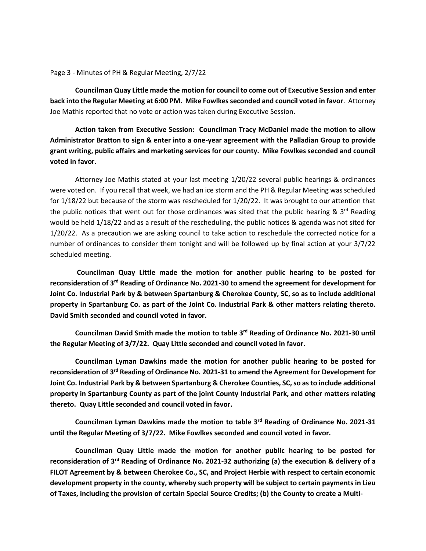Page 3 - Minutes of PH & Regular Meeting, 2/7/22

**Councilman Quay Little made the motion for council to come out of Executive Session and enter back into the Regular Meeting at 6:00 PM. Mike Fowlkes seconded and council voted in favor**. Attorney Joe Mathis reported that no vote or action was taken during Executive Session.

**Action taken from Executive Session: Councilman Tracy McDaniel made the motion to allow Administrator Bratton to sign & enter into a one-year agreement with the Palladian Group to provide grant writing, public affairs and marketing services for our county. Mike Fowlkes seconded and council voted in favor.**

Attorney Joe Mathis stated at your last meeting 1/20/22 several public hearings & ordinances were voted on. If you recall that week, we had an ice storm and the PH & Regular Meeting was scheduled for 1/18/22 but because of the storm was rescheduled for 1/20/22. It was brought to our attention that the public notices that went out for those ordinances was sited that the public hearing &  $3<sup>rd</sup>$  Reading would be held 1/18/22 and as a result of the rescheduling, the public notices & agenda was not sited for 1/20/22. As a precaution we are asking council to take action to reschedule the corrected notice for a number of ordinances to consider them tonight and will be followed up by final action at your 3/7/22 scheduled meeting.

**Councilman Quay Little made the motion for another public hearing to be posted for reconsideration of 3rd Reading of Ordinance No. 2021-30 to amend the agreement for development for Joint Co. Industrial Park by & between Spartanburg & Cherokee County, SC, so as to include additional property in Spartanburg Co. as part of the Joint Co. Industrial Park & other matters relating thereto. David Smith seconded and council voted in favor.** 

**Councilman David Smith made the motion to table 3rd Reading of Ordinance No. 2021-30 until the Regular Meeting of 3/7/22. Quay Little seconded and council voted in favor.**

**Councilman Lyman Dawkins made the motion for another public hearing to be posted for reconsideration of 3rd Reading of Ordinance No. 2021-31 to amend the Agreement for Development for Joint Co. Industrial Park by & between Spartanburg & Cherokee Counties, SC, so as to include additional property in Spartanburg County as part of the joint County Industrial Park, and other matters relating thereto. Quay Little seconded and council voted in favor.**

**Councilman Lyman Dawkins made the motion to table 3rd Reading of Ordinance No. 2021-31 until the Regular Meeting of 3/7/22. Mike Fowlkes seconded and council voted in favor.**

**Councilman Quay Little made the motion for another public hearing to be posted for reconsideration of 3rd Reading of Ordinance No. 2021-32 authorizing (a) the execution & delivery of a FILOT Agreement by & between Cherokee Co., SC, and Project Herbie with respect to certain economic development property in the county, whereby such property will be subject to certain payments in Lieu of Taxes, including the provision of certain Special Source Credits; (b) the County to create a Multi-**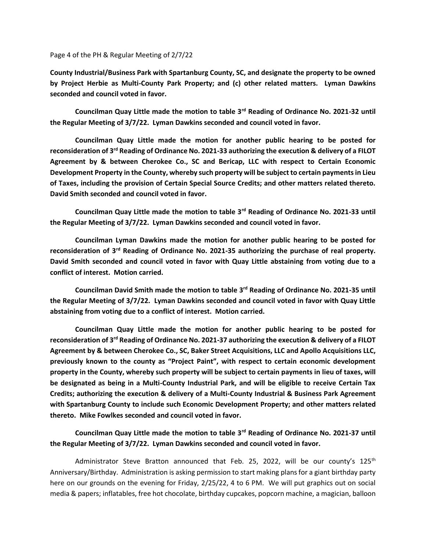Page 4 of the PH & Regular Meeting of 2/7/22

**County Industrial/Business Park with Spartanburg County, SC, and designate the property to be owned by Project Herbie as Multi-County Park Property; and (c) other related matters. Lyman Dawkins seconded and council voted in favor.**

**Councilman Quay Little made the motion to table 3rd Reading of Ordinance No. 2021-32 until the Regular Meeting of 3/7/22. Lyman Dawkins seconded and council voted in favor.**

**Councilman Quay Little made the motion for another public hearing to be posted for reconsideration of 3rd Reading of Ordinance No. 2021-33 authorizing the execution & delivery of a FILOT Agreement by & between Cherokee Co., SC and Bericap, LLC with respect to Certain Economic Development Property in the County, whereby such property will be subject to certain payments in Lieu of Taxes, including the provision of Certain Special Source Credits; and other matters related thereto. David Smith seconded and council voted in favor.**

**Councilman Quay Little made the motion to table 3rd Reading of Ordinance No. 2021-33 until the Regular Meeting of 3/7/22. Lyman Dawkins seconded and council voted in favor.**

**Councilman Lyman Dawkins made the motion for another public hearing to be posted for reconsideration of 3rd Reading of Ordinance No. 2021-35 authorizing the purchase of real property. David Smith seconded and council voted in favor with Quay Little abstaining from voting due to a conflict of interest. Motion carried.**

**Councilman David Smith made the motion to table 3rd Reading of Ordinance No. 2021-35 until the Regular Meeting of 3/7/22. Lyman Dawkins seconded and council voted in favor with Quay Little abstaining from voting due to a conflict of interest. Motion carried.**

**Councilman Quay Little made the motion for another public hearing to be posted for reconsideration of 3rd Reading of Ordinance No. 2021-37 authorizing the execution & delivery of a FILOT Agreement by & between Cherokee Co., SC, Baker Street Acquisitions, LLC and Apollo Acquisitions LLC, previously known to the county as "Project Paint", with respect to certain economic development property in the County, whereby such property will be subject to certain payments in lieu of taxes, will be designated as being in a Multi-County Industrial Park, and will be eligible to receive Certain Tax Credits; authorizing the execution & delivery of a Multi-County Industrial & Business Park Agreement with Spartanburg County to include such Economic Development Property; and other matters related thereto. Mike Fowlkes seconded and council voted in favor.**

**Councilman Quay Little made the motion to table 3rd Reading of Ordinance No. 2021-37 until the Regular Meeting of 3/7/22. Lyman Dawkins seconded and council voted in favor.**

Administrator Steve Bratton announced that Feb. 25, 2022, will be our county's 125<sup>th</sup> Anniversary/Birthday. Administration is asking permission to start making plans for a giant birthday party here on our grounds on the evening for Friday, 2/25/22, 4 to 6 PM. We will put graphics out on social media & papers; inflatables, free hot chocolate, birthday cupcakes, popcorn machine, a magician, balloon